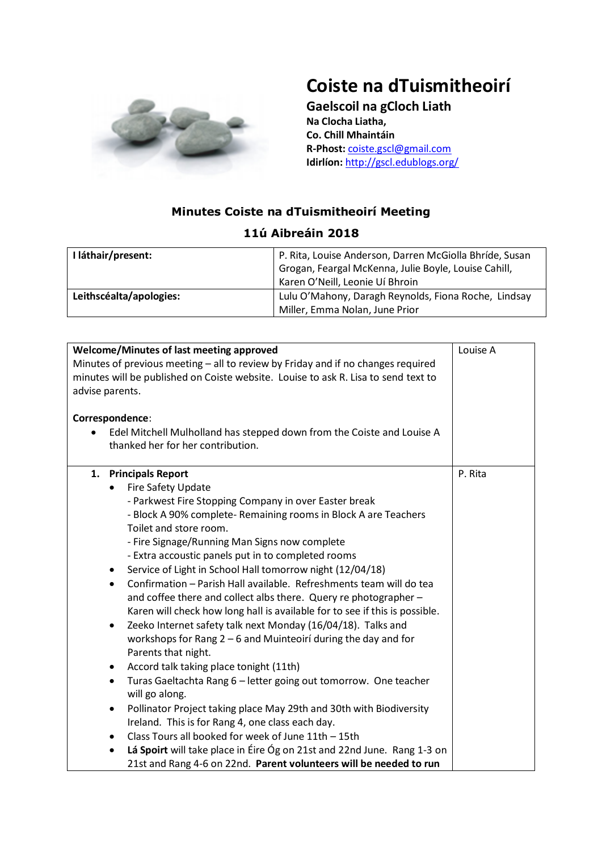

## **Coiste na dTuismitheoirí**

**Gaelscoil na gCloch Liath Na Clocha Liatha, Co. Chill Mhaintáin R-Phost:** [coiste.gscl@gmail.com](mailto:coiste.gscl@gmail.com) **Idirlíon:** <http://gscl.edublogs.org/>

## **Minutes Coiste na dTuismitheoirí Meeting**

| I láthair/present:      | P. Rita, Louise Anderson, Darren McGiolla Bhríde, Susan<br>Grogan, Feargal McKenna, Julie Boyle, Louise Cahill,<br>Karen O'Neill, Leonie Uí Bhroin |
|-------------------------|----------------------------------------------------------------------------------------------------------------------------------------------------|
| Leithscéalta/apologies: | Lulu O'Mahony, Daragh Reynolds, Fiona Roche, Lindsay<br>Miller, Emma Nolan, June Prior                                                             |

| Welcome/Minutes of last meeting approved<br>Louise A<br>Minutes of previous meeting - all to review by Friday and if no changes required<br>minutes will be published on Coiste website. Louise to ask R. Lisa to send text to<br>advise parents.<br>Correspondence:<br>Edel Mitchell Mulholland has stepped down from the Coiste and Louise A<br>thanked her for her contribution.<br>1. Principals Report<br>P. Rita<br>Fire Safety Update<br>$\bullet$<br>- Parkwest Fire Stopping Company in over Easter break<br>- Block A 90% complete- Remaining rooms in Block A are Teachers<br>Toilet and store room.<br>- Fire Signage/Running Man Signs now complete<br>- Extra accoustic panels put in to completed rooms<br>Service of Light in School Hall tomorrow night (12/04/18)<br>٠<br>Confirmation - Parish Hall available. Refreshments team will do tea<br>$\bullet$<br>and coffee there and collect albs there. Query re photographer -<br>Karen will check how long hall is available for to see if this is possible.<br>Zeeko Internet safety talk next Monday (16/04/18). Talks and<br>$\bullet$<br>workshops for Rang 2 - 6 and Muinteoirí during the day and for<br>Parents that night.<br>Accord talk taking place tonight (11th)<br>$\bullet$<br>Turas Gaeltachta Rang 6 - letter going out tomorrow. One teacher<br>$\bullet$<br>will go along.<br>Pollinator Project taking place May 29th and 30th with Biodiversity<br>$\bullet$<br>Ireland. This is for Rang 4, one class each day.<br>Class Tours all booked for week of June 11th - 15th<br>$\bullet$<br>Lá Spoirt will take place in Éire Óg on 21st and 22nd June. Rang 1-3 on<br>$\bullet$<br>21st and Rang 4-6 on 22nd. Parent volunteers will be needed to run |  |
|--------------------------------------------------------------------------------------------------------------------------------------------------------------------------------------------------------------------------------------------------------------------------------------------------------------------------------------------------------------------------------------------------------------------------------------------------------------------------------------------------------------------------------------------------------------------------------------------------------------------------------------------------------------------------------------------------------------------------------------------------------------------------------------------------------------------------------------------------------------------------------------------------------------------------------------------------------------------------------------------------------------------------------------------------------------------------------------------------------------------------------------------------------------------------------------------------------------------------------------------------------------------------------------------------------------------------------------------------------------------------------------------------------------------------------------------------------------------------------------------------------------------------------------------------------------------------------------------------------------------------------------------------------------------------------------------------------------------------------------------|--|
|                                                                                                                                                                                                                                                                                                                                                                                                                                                                                                                                                                                                                                                                                                                                                                                                                                                                                                                                                                                                                                                                                                                                                                                                                                                                                                                                                                                                                                                                                                                                                                                                                                                                                                                                            |  |
|                                                                                                                                                                                                                                                                                                                                                                                                                                                                                                                                                                                                                                                                                                                                                                                                                                                                                                                                                                                                                                                                                                                                                                                                                                                                                                                                                                                                                                                                                                                                                                                                                                                                                                                                            |  |
|                                                                                                                                                                                                                                                                                                                                                                                                                                                                                                                                                                                                                                                                                                                                                                                                                                                                                                                                                                                                                                                                                                                                                                                                                                                                                                                                                                                                                                                                                                                                                                                                                                                                                                                                            |  |
|                                                                                                                                                                                                                                                                                                                                                                                                                                                                                                                                                                                                                                                                                                                                                                                                                                                                                                                                                                                                                                                                                                                                                                                                                                                                                                                                                                                                                                                                                                                                                                                                                                                                                                                                            |  |

## **11ú Aibreáin 2018**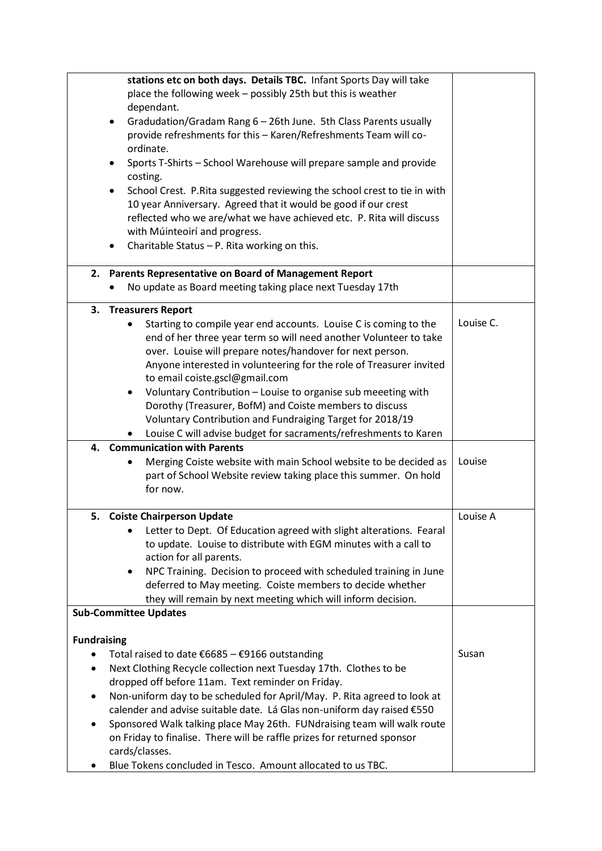|                    | stations etc on both days. Details TBC. Infant Sports Day will take<br>place the following week - possibly 25th but this is weather<br>dependant.<br>Gradudation/Gradam Rang 6 - 26th June. 5th Class Parents usually<br>provide refreshments for this - Karen/Refreshments Team will co-<br>ordinate.<br>Sports T-Shirts - School Warehouse will prepare sample and provide<br>٠<br>costing.<br>School Crest. P.Rita suggested reviewing the school crest to tie in with<br>$\bullet$<br>10 year Anniversary. Agreed that it would be good if our crest<br>reflected who we are/what we have achieved etc. P. Rita will discuss<br>with Múinteoirí and progress.<br>Charitable Status - P. Rita working on this.<br>$\bullet$ |           |
|--------------------|--------------------------------------------------------------------------------------------------------------------------------------------------------------------------------------------------------------------------------------------------------------------------------------------------------------------------------------------------------------------------------------------------------------------------------------------------------------------------------------------------------------------------------------------------------------------------------------------------------------------------------------------------------------------------------------------------------------------------------|-----------|
|                    | 2. Parents Representative on Board of Management Report                                                                                                                                                                                                                                                                                                                                                                                                                                                                                                                                                                                                                                                                        |           |
|                    | No update as Board meeting taking place next Tuesday 17th                                                                                                                                                                                                                                                                                                                                                                                                                                                                                                                                                                                                                                                                      |           |
|                    | 3. Treasurers Report<br>Starting to compile year end accounts. Louise C is coming to the<br>$\bullet$<br>end of her three year term so will need another Volunteer to take<br>over. Louise will prepare notes/handover for next person.<br>Anyone interested in volunteering for the role of Treasurer invited<br>to email coiste.gscl@gmail.com<br>Voluntary Contribution - Louise to organise sub meeeting with<br>$\bullet$<br>Dorothy (Treasurer, BofM) and Coiste members to discuss<br>Voluntary Contribution and Fundraiging Target for 2018/19<br>Louise C will advise budget for sacraments/refreshments to Karen                                                                                                     | Louise C. |
| 4.                 | <b>Communication with Parents</b>                                                                                                                                                                                                                                                                                                                                                                                                                                                                                                                                                                                                                                                                                              |           |
|                    | Merging Coiste website with main School website to be decided as<br>part of School Website review taking place this summer. On hold<br>for now.                                                                                                                                                                                                                                                                                                                                                                                                                                                                                                                                                                                | Louise    |
|                    | 5. Coiste Chairperson Update<br>Letter to Dept. Of Education agreed with slight alterations. Fearal<br>to update. Louise to distribute with EGM minutes with a call to<br>action for all parents.<br>NPC Training. Decision to proceed with scheduled training in June<br>٠<br>deferred to May meeting. Coiste members to decide whether<br>they will remain by next meeting which will inform decision.<br><b>Sub-Committee Updates</b>                                                                                                                                                                                                                                                                                       | Louise A  |
| <b>Fundraising</b> | Total raised to date $\epsilon$ 6685 - $\epsilon$ 9166 outstanding<br>Next Clothing Recycle collection next Tuesday 17th. Clothes to be<br>dropped off before 11am. Text reminder on Friday.<br>Non-uniform day to be scheduled for April/May. P. Rita agreed to look at<br>calender and advise suitable date. Lá Glas non-uniform day raised €550<br>Sponsored Walk talking place May 26th. FUNdraising team will walk route<br>on Friday to finalise. There will be raffle prizes for returned sponsor<br>cards/classes.<br>Blue Tokens concluded in Tesco. Amount allocated to us TBC.                                                                                                                                      | Susan     |